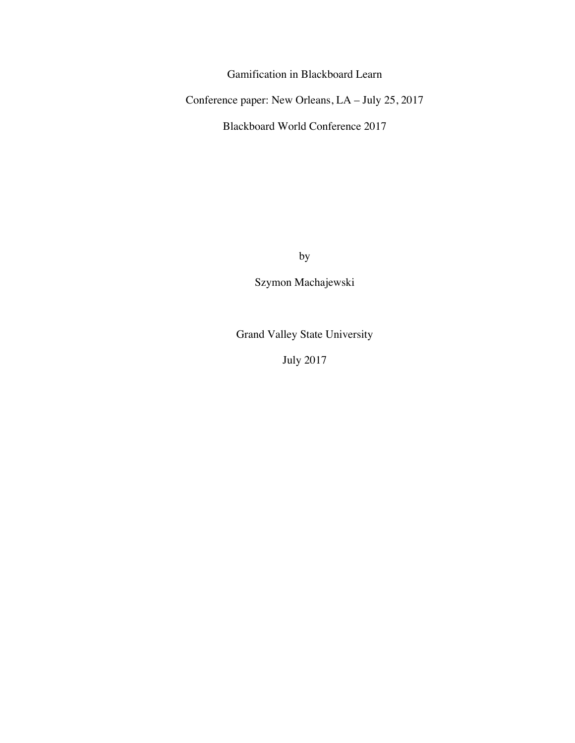Gamification in Blackboard Learn

Conference paper: New Orleans, LA – July 25, 2017

Blackboard World Conference 2017

by

Szymon Machajewski

Grand Valley State University

July 2017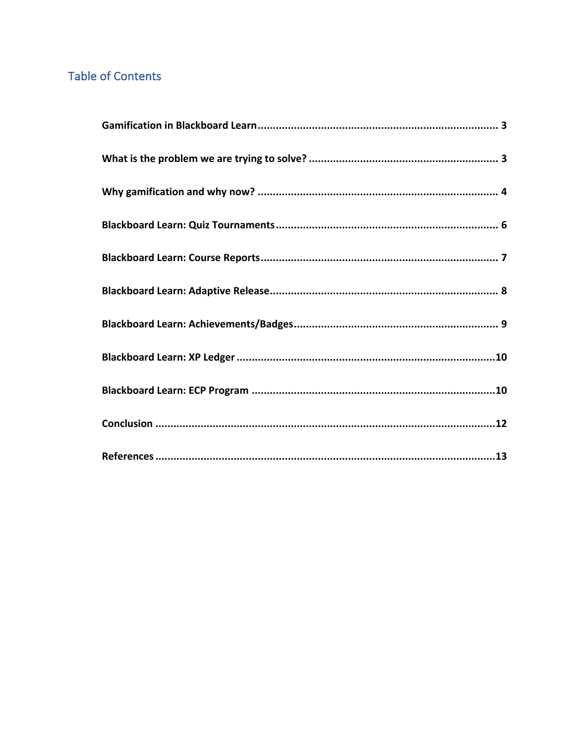# **Table of Contents**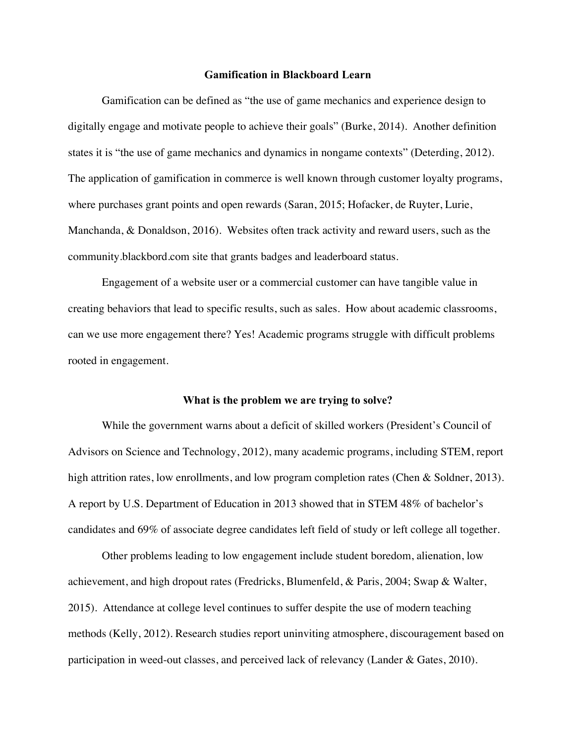## **Gamification in Blackboard Learn**

Gamification can be defined as "the use of game mechanics and experience design to digitally engage and motivate people to achieve their goals" (Burke, 2014). Another definition states it is "the use of game mechanics and dynamics in nongame contexts" (Deterding, 2012). The application of gamification in commerce is well known through customer loyalty programs, where purchases grant points and open rewards (Saran, 2015; Hofacker, de Ruyter, Lurie, Manchanda, & Donaldson, 2016). Websites often track activity and reward users, such as the community.blackbord.com site that grants badges and leaderboard status.

Engagement of a website user or a commercial customer can have tangible value in creating behaviors that lead to specific results, such as sales. How about academic classrooms, can we use more engagement there? Yes! Academic programs struggle with difficult problems rooted in engagement.

#### **What is the problem we are trying to solve?**

While the government warns about a deficit of skilled workers (President's Council of Advisors on Science and Technology, 2012), many academic programs, including STEM, report high attrition rates, low enrollments, and low program completion rates (Chen & Soldner, 2013). A report by U.S. Department of Education in 2013 showed that in STEM 48% of bachelor's candidates and 69% of associate degree candidates left field of study or left college all together.

Other problems leading to low engagement include student boredom, alienation, low achievement, and high dropout rates (Fredricks, Blumenfeld, & Paris, 2004; Swap & Walter, 2015). Attendance at college level continues to suffer despite the use of modern teaching methods (Kelly, 2012). Research studies report uninviting atmosphere, discouragement based on participation in weed-out classes, and perceived lack of relevancy (Lander & Gates, 2010).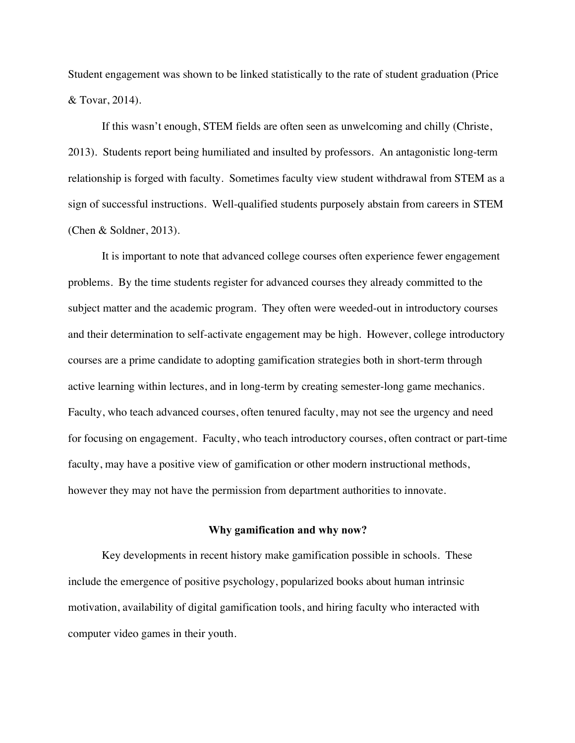Student engagement was shown to be linked statistically to the rate of student graduation (Price & Tovar, 2014).

If this wasn't enough, STEM fields are often seen as unwelcoming and chilly (Christe, 2013). Students report being humiliated and insulted by professors. An antagonistic long-term relationship is forged with faculty. Sometimes faculty view student withdrawal from STEM as a sign of successful instructions. Well-qualified students purposely abstain from careers in STEM (Chen & Soldner, 2013).

It is important to note that advanced college courses often experience fewer engagement problems. By the time students register for advanced courses they already committed to the subject matter and the academic program. They often were weeded-out in introductory courses and their determination to self-activate engagement may be high. However, college introductory courses are a prime candidate to adopting gamification strategies both in short-term through active learning within lectures, and in long-term by creating semester-long game mechanics. Faculty, who teach advanced courses, often tenured faculty, may not see the urgency and need for focusing on engagement. Faculty, who teach introductory courses, often contract or part-time faculty, may have a positive view of gamification or other modern instructional methods, however they may not have the permission from department authorities to innovate.

#### **Why gamification and why now?**

Key developments in recent history make gamification possible in schools. These include the emergence of positive psychology, popularized books about human intrinsic motivation, availability of digital gamification tools, and hiring faculty who interacted with computer video games in their youth.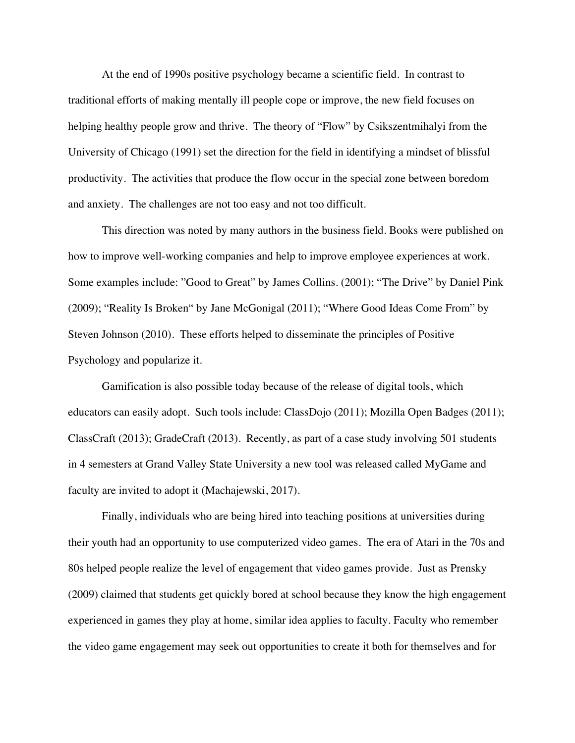At the end of 1990s positive psychology became a scientific field. In contrast to traditional efforts of making mentally ill people cope or improve, the new field focuses on helping healthy people grow and thrive. The theory of "Flow" by Csikszentmihalyi from the University of Chicago (1991) set the direction for the field in identifying a mindset of blissful productivity. The activities that produce the flow occur in the special zone between boredom and anxiety. The challenges are not too easy and not too difficult.

This direction was noted by many authors in the business field. Books were published on how to improve well-working companies and help to improve employee experiences at work. Some examples include: "Good to Great" by James Collins. (2001); "The Drive" by Daniel Pink (2009); "Reality Is Broken" by Jane McGonigal (2011); "Where Good Ideas Come From" by Steven Johnson (2010). These efforts helped to disseminate the principles of Positive Psychology and popularize it.

Gamification is also possible today because of the release of digital tools, which educators can easily adopt. Such tools include: ClassDojo (2011); Mozilla Open Badges (2011); ClassCraft (2013); GradeCraft (2013). Recently, as part of a case study involving 501 students in 4 semesters at Grand Valley State University a new tool was released called MyGame and faculty are invited to adopt it (Machajewski, 2017).

Finally, individuals who are being hired into teaching positions at universities during their youth had an opportunity to use computerized video games. The era of Atari in the 70s and 80s helped people realize the level of engagement that video games provide. Just as Prensky (2009) claimed that students get quickly bored at school because they know the high engagement experienced in games they play at home, similar idea applies to faculty. Faculty who remember the video game engagement may seek out opportunities to create it both for themselves and for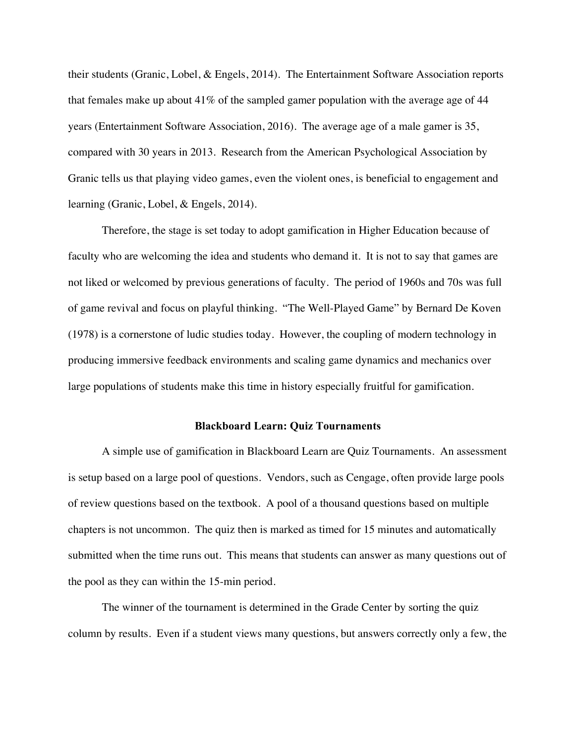their students (Granic, Lobel, & Engels, 2014). The Entertainment Software Association reports that females make up about 41% of the sampled gamer population with the average age of 44 years (Entertainment Software Association, 2016). The average age of a male gamer is 35, compared with 30 years in 2013. Research from the American Psychological Association by Granic tells us that playing video games, even the violent ones, is beneficial to engagement and learning (Granic, Lobel, & Engels, 2014).

Therefore, the stage is set today to adopt gamification in Higher Education because of faculty who are welcoming the idea and students who demand it. It is not to say that games are not liked or welcomed by previous generations of faculty. The period of 1960s and 70s was full of game revival and focus on playful thinking. "The Well-Played Game" by Bernard De Koven (1978) is a cornerstone of ludic studies today. However, the coupling of modern technology in producing immersive feedback environments and scaling game dynamics and mechanics over large populations of students make this time in history especially fruitful for gamification.

## **Blackboard Learn: Quiz Tournaments**

A simple use of gamification in Blackboard Learn are Quiz Tournaments. An assessment is setup based on a large pool of questions. Vendors, such as Cengage, often provide large pools of review questions based on the textbook. A pool of a thousand questions based on multiple chapters is not uncommon. The quiz then is marked as timed for 15 minutes and automatically submitted when the time runs out. This means that students can answer as many questions out of the pool as they can within the 15-min period.

The winner of the tournament is determined in the Grade Center by sorting the quiz column by results. Even if a student views many questions, but answers correctly only a few, the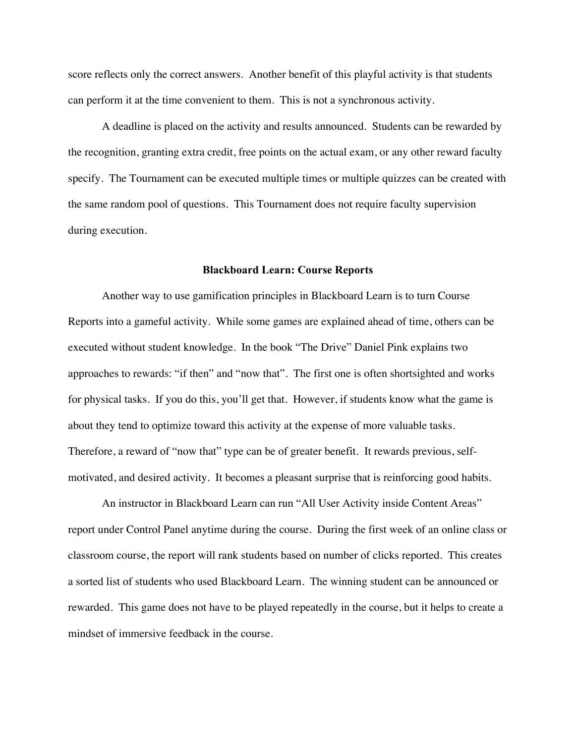score reflects only the correct answers. Another benefit of this playful activity is that students can perform it at the time convenient to them. This is not a synchronous activity.

A deadline is placed on the activity and results announced. Students can be rewarded by the recognition, granting extra credit, free points on the actual exam, or any other reward faculty specify. The Tournament can be executed multiple times or multiple quizzes can be created with the same random pool of questions. This Tournament does not require faculty supervision during execution.

## **Blackboard Learn: Course Reports**

Another way to use gamification principles in Blackboard Learn is to turn Course Reports into a gameful activity. While some games are explained ahead of time, others can be executed without student knowledge. In the book "The Drive" Daniel Pink explains two approaches to rewards: "if then" and "now that". The first one is often shortsighted and works for physical tasks. If you do this, you'll get that. However, if students know what the game is about they tend to optimize toward this activity at the expense of more valuable tasks. Therefore, a reward of "now that" type can be of greater benefit. It rewards previous, selfmotivated, and desired activity. It becomes a pleasant surprise that is reinforcing good habits.

An instructor in Blackboard Learn can run "All User Activity inside Content Areas" report under Control Panel anytime during the course. During the first week of an online class or classroom course, the report will rank students based on number of clicks reported. This creates a sorted list of students who used Blackboard Learn. The winning student can be announced or rewarded. This game does not have to be played repeatedly in the course, but it helps to create a mindset of immersive feedback in the course.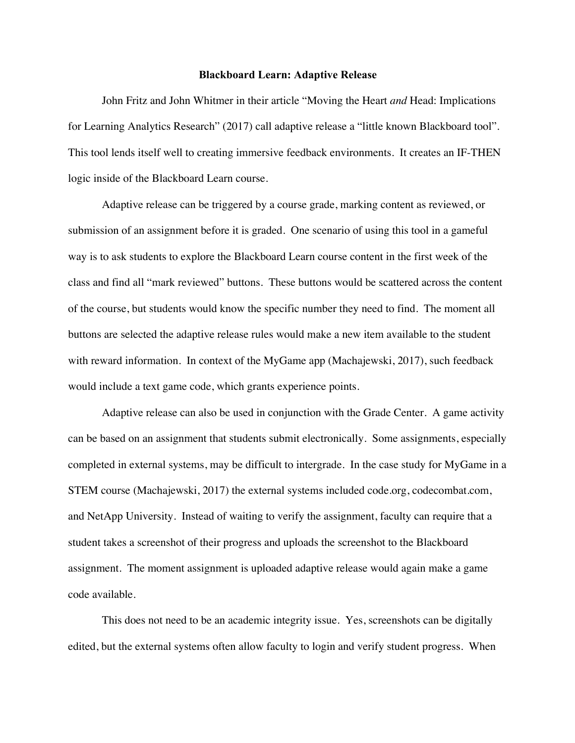## **Blackboard Learn: Adaptive Release**

John Fritz and John Whitmer in their article "Moving the Heart *and* Head: Implications for Learning Analytics Research" (2017) call adaptive release a "little known Blackboard tool". This tool lends itself well to creating immersive feedback environments. It creates an IF-THEN logic inside of the Blackboard Learn course.

Adaptive release can be triggered by a course grade, marking content as reviewed, or submission of an assignment before it is graded. One scenario of using this tool in a gameful way is to ask students to explore the Blackboard Learn course content in the first week of the class and find all "mark reviewed" buttons. These buttons would be scattered across the content of the course, but students would know the specific number they need to find. The moment all buttons are selected the adaptive release rules would make a new item available to the student with reward information. In context of the MyGame app (Machajewski, 2017), such feedback would include a text game code, which grants experience points.

Adaptive release can also be used in conjunction with the Grade Center. A game activity can be based on an assignment that students submit electronically. Some assignments, especially completed in external systems, may be difficult to intergrade. In the case study for MyGame in a STEM course (Machajewski, 2017) the external systems included code.org, codecombat.com, and NetApp University. Instead of waiting to verify the assignment, faculty can require that a student takes a screenshot of their progress and uploads the screenshot to the Blackboard assignment. The moment assignment is uploaded adaptive release would again make a game code available.

This does not need to be an academic integrity issue. Yes, screenshots can be digitally edited, but the external systems often allow faculty to login and verify student progress. When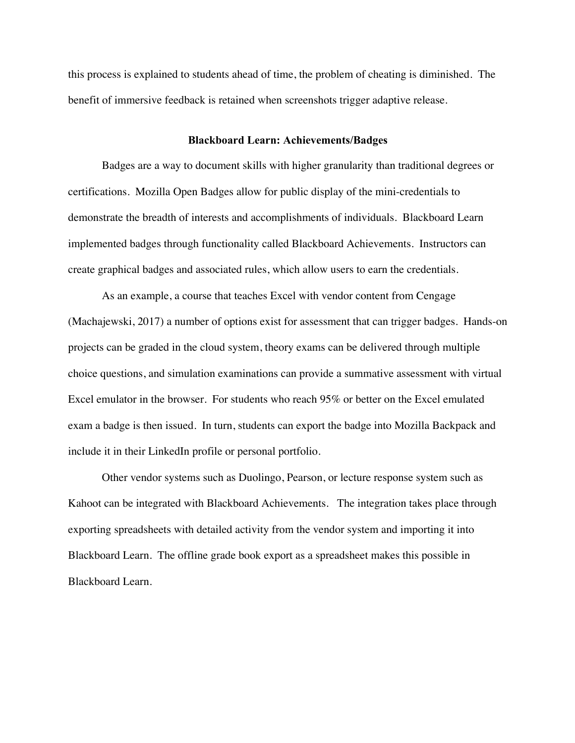this process is explained to students ahead of time, the problem of cheating is diminished. The benefit of immersive feedback is retained when screenshots trigger adaptive release.

## **Blackboard Learn: Achievements/Badges**

Badges are a way to document skills with higher granularity than traditional degrees or certifications. Mozilla Open Badges allow for public display of the mini-credentials to demonstrate the breadth of interests and accomplishments of individuals. Blackboard Learn implemented badges through functionality called Blackboard Achievements. Instructors can create graphical badges and associated rules, which allow users to earn the credentials.

As an example, a course that teaches Excel with vendor content from Cengage (Machajewski, 2017) a number of options exist for assessment that can trigger badges. Hands-on projects can be graded in the cloud system, theory exams can be delivered through multiple choice questions, and simulation examinations can provide a summative assessment with virtual Excel emulator in the browser. For students who reach 95% or better on the Excel emulated exam a badge is then issued. In turn, students can export the badge into Mozilla Backpack and include it in their LinkedIn profile or personal portfolio.

Other vendor systems such as Duolingo, Pearson, or lecture response system such as Kahoot can be integrated with Blackboard Achievements. The integration takes place through exporting spreadsheets with detailed activity from the vendor system and importing it into Blackboard Learn. The offline grade book export as a spreadsheet makes this possible in Blackboard Learn.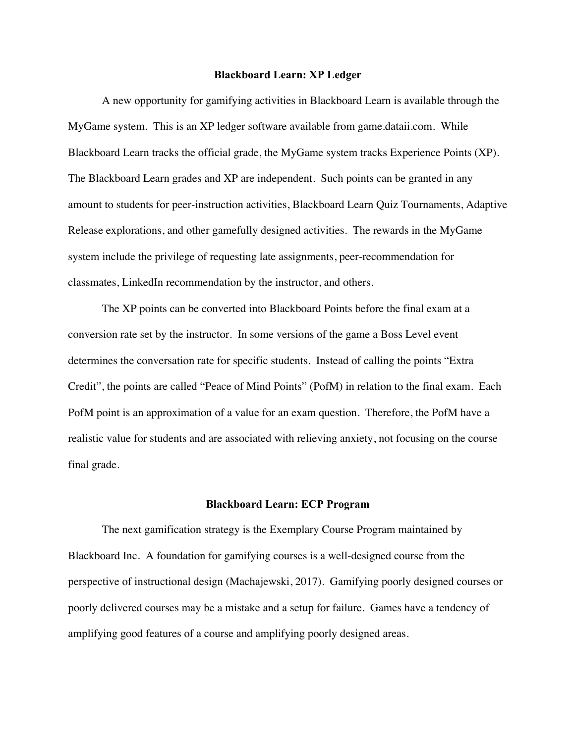## **Blackboard Learn: XP Ledger**

A new opportunity for gamifying activities in Blackboard Learn is available through the MyGame system. This is an XP ledger software available from game.dataii.com. While Blackboard Learn tracks the official grade, the MyGame system tracks Experience Points (XP). The Blackboard Learn grades and XP are independent. Such points can be granted in any amount to students for peer-instruction activities, Blackboard Learn Quiz Tournaments, Adaptive Release explorations, and other gamefully designed activities. The rewards in the MyGame system include the privilege of requesting late assignments, peer-recommendation for classmates, LinkedIn recommendation by the instructor, and others.

The XP points can be converted into Blackboard Points before the final exam at a conversion rate set by the instructor. In some versions of the game a Boss Level event determines the conversation rate for specific students. Instead of calling the points "Extra Credit", the points are called "Peace of Mind Points" (PofM) in relation to the final exam. Each PofM point is an approximation of a value for an exam question. Therefore, the PofM have a realistic value for students and are associated with relieving anxiety, not focusing on the course final grade.

#### **Blackboard Learn: ECP Program**

The next gamification strategy is the Exemplary Course Program maintained by Blackboard Inc. A foundation for gamifying courses is a well-designed course from the perspective of instructional design (Machajewski, 2017). Gamifying poorly designed courses or poorly delivered courses may be a mistake and a setup for failure. Games have a tendency of amplifying good features of a course and amplifying poorly designed areas.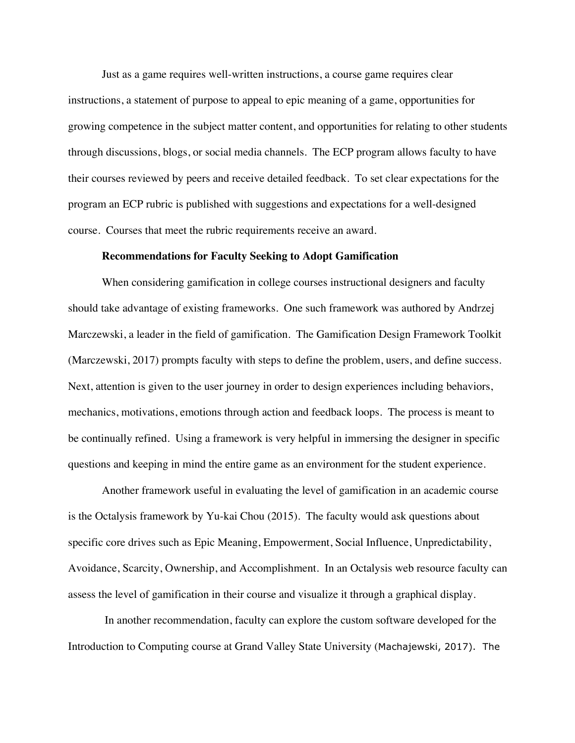Just as a game requires well-written instructions, a course game requires clear instructions, a statement of purpose to appeal to epic meaning of a game, opportunities for growing competence in the subject matter content, and opportunities for relating to other students through discussions, blogs, or social media channels. The ECP program allows faculty to have their courses reviewed by peers and receive detailed feedback. To set clear expectations for the program an ECP rubric is published with suggestions and expectations for a well-designed course. Courses that meet the rubric requirements receive an award.

#### **Recommendations for Faculty Seeking to Adopt Gamification**

When considering gamification in college courses instructional designers and faculty should take advantage of existing frameworks. One such framework was authored by Andrzej Marczewski, a leader in the field of gamification. The Gamification Design Framework Toolkit (Marczewski, 2017) prompts faculty with steps to define the problem, users, and define success. Next, attention is given to the user journey in order to design experiences including behaviors, mechanics, motivations, emotions through action and feedback loops. The process is meant to be continually refined. Using a framework is very helpful in immersing the designer in specific questions and keeping in mind the entire game as an environment for the student experience.

Another framework useful in evaluating the level of gamification in an academic course is the Octalysis framework by Yu-kai Chou (2015). The faculty would ask questions about specific core drives such as Epic Meaning, Empowerment, Social Influence, Unpredictability, Avoidance, Scarcity, Ownership, and Accomplishment. In an Octalysis web resource faculty can assess the level of gamification in their course and visualize it through a graphical display.

In another recommendation, faculty can explore the custom software developed for the Introduction to Computing course at Grand Valley State University (Machajewski, 2017). The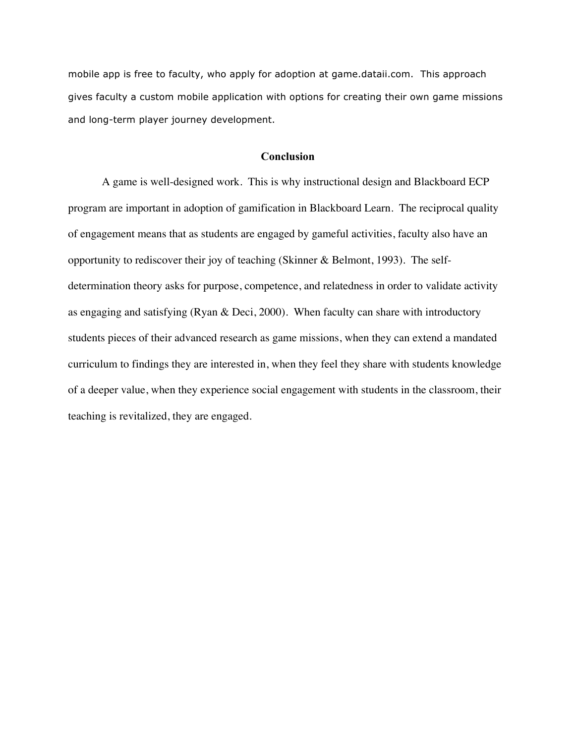mobile app is free to faculty, who apply for adoption at game.dataii.com. This approach gives faculty a custom mobile application with options for creating their own game missions and long-term player journey development.

## **Conclusion**

A game is well-designed work. This is why instructional design and Blackboard ECP program are important in adoption of gamification in Blackboard Learn. The reciprocal quality of engagement means that as students are engaged by gameful activities, faculty also have an opportunity to rediscover their joy of teaching (Skinner & Belmont, 1993). The selfdetermination theory asks for purpose, competence, and relatedness in order to validate activity as engaging and satisfying (Ryan & Deci, 2000). When faculty can share with introductory students pieces of their advanced research as game missions, when they can extend a mandated curriculum to findings they are interested in, when they feel they share with students knowledge of a deeper value, when they experience social engagement with students in the classroom, their teaching is revitalized, they are engaged.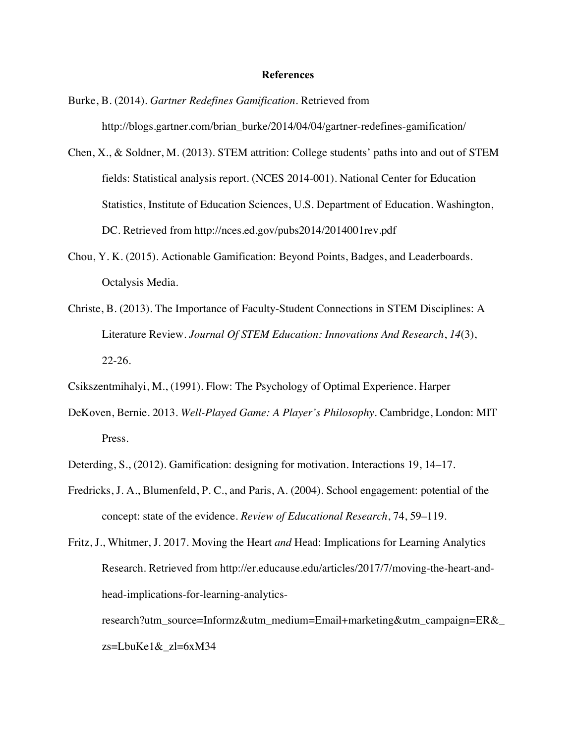#### **References**

- Burke, B. (2014). *Gartner Redefines Gamification*. Retrieved from http://blogs.gartner.com/brian\_burke/2014/04/04/gartner-redefines-gamification/
- Chen, X., & Soldner, M. (2013). STEM attrition: College students' paths into and out of STEM fields: Statistical analysis report. (NCES 2014-001). National Center for Education Statistics, Institute of Education Sciences, U.S. Department of Education. Washington, DC. Retrieved from http://nces.ed.gov/pubs2014/2014001rev.pdf
- Chou, Y. K. (2015). Actionable Gamification: Beyond Points, Badges, and Leaderboards. Octalysis Media.
- Christe, B. (2013). The Importance of Faculty-Student Connections in STEM Disciplines: A Literature Review. *Journal Of STEM Education: Innovations And Research*, *14*(3), 22-26.
- Csikszentmihalyi, M., (1991). Flow: The Psychology of Optimal Experience. Harper
- DeKoven, Bernie. 2013. *Well-Played Game: A Player's Philosophy*. Cambridge, London: MIT Press.
- Deterding, S., (2012). Gamification: designing for motivation. Interactions 19, 14–17.
- Fredricks, J. A., Blumenfeld, P. C., and Paris, A. (2004). School engagement: potential of the concept: state of the evidence. *Review of Educational Research*, 74, 59–119.

research?utm\_source=Informz&utm\_medium=Email+marketing&utm\_campaign=ER&\_ zs=LbuKe1&\_zl=6xM34

Fritz, J., Whitmer, J. 2017. Moving the Heart *and* Head: Implications for Learning Analytics Research. Retrieved from http://er.educause.edu/articles/2017/7/moving-the-heart-andhead-implications-for-learning-analytics-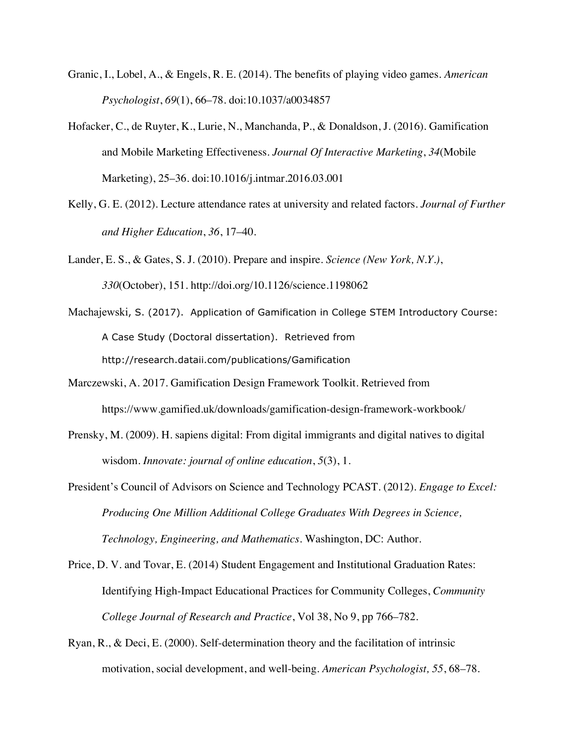- Granic, I., Lobel, A., & Engels, R. E. (2014). The benefits of playing video games. *American Psychologist*, *69*(1), 66–78. doi:10.1037/a0034857
- Hofacker, C., de Ruyter, K., Lurie, N., Manchanda, P., & Donaldson, J. (2016). Gamification and Mobile Marketing Effectiveness. *Journal Of Interactive Marketing*, *34*(Mobile Marketing), 25–36. doi:10.1016/j.intmar.2016.03.001
- Kelly, G. E. (2012). Lecture attendance rates at university and related factors. *Journal of Further and Higher Education*, *36*, 17–40.
- Lander, E. S., & Gates, S. J. (2010). Prepare and inspire. *Science (New York, N.Y.)*, *330*(October), 151. http://doi.org/10.1126/science.1198062
- Machajewski, S. (2017). Application of Gamification in College STEM Introductory Course: A Case Study (Doctoral dissertation). Retrieved from http://research.dataii.com/publications/Gamification
- Marczewski, A. 2017. Gamification Design Framework Toolkit. Retrieved from https://www.gamified.uk/downloads/gamification-design-framework-workbook/
- Prensky, M. (2009). H. sapiens digital: From digital immigrants and digital natives to digital wisdom. *Innovate: journal of online education*, *5*(3), 1.
- President's Council of Advisors on Science and Technology PCAST. (2012). *Engage to Excel: Producing One Million Additional College Graduates With Degrees in Science, Technology, Engineering, and Mathematics*. Washington, DC: Author.
- Price, D. V. and Tovar, E. (2014) Student Engagement and Institutional Graduation Rates: Identifying High-Impact Educational Practices for Community Colleges, *Community College Journal of Research and Practice*, Vol 38, No 9, pp 766–782.
- Ryan, R., & Deci, E. (2000). Self-determination theory and the facilitation of intrinsic motivation, social development, and well-being. *American Psychologist, 55*, 68–78.